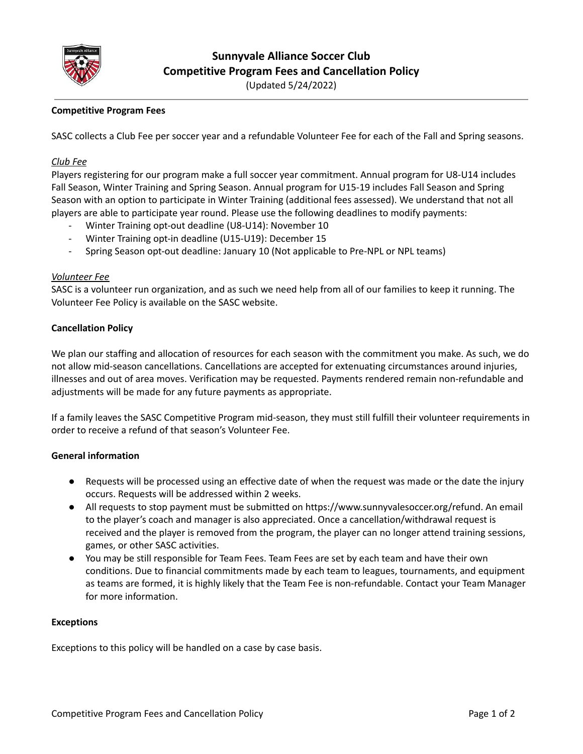

**Sunnyvale Alliance Soccer Club Competitive Program Fees and Cancellation Policy**

(Updated 5/24/2022)

# **Competitive Program Fees**

SASC collects a Club Fee per soccer year and a refundable Volunteer Fee for each of the Fall and Spring seasons.

#### *Club Fee*

Players registering for our program make a full soccer year commitment. Annual program for U8-U14 includes Fall Season, Winter Training and Spring Season. Annual program for U15-19 includes Fall Season and Spring Season with an option to participate in Winter Training (additional fees assessed). We understand that not all players are able to participate year round. Please use the following deadlines to modify payments:

- Winter Training opt-out deadline (U8-U14): November 10
- Winter Training opt-in deadline (U15-U19): December 15
- Spring Season opt-out deadline: January 10 (Not applicable to Pre-NPL or NPL teams)

## *Volunteer Fee*

SASC is a volunteer run organization, and as such we need help from all of our families to keep it running. The Volunteer Fee Policy is available on the SASC website.

## **Cancellation Policy**

We plan our staffing and allocation of resources for each season with the commitment you make. As such, we do not allow mid-season cancellations. Cancellations are accepted for extenuating circumstances around injuries, illnesses and out of area moves. Verification may be requested. Payments rendered remain non-refundable and adjustments will be made for any future payments as appropriate.

If a family leaves the SASC Competitive Program mid-season, they must still fulfill their volunteer requirements in order to receive a refund of that season's Volunteer Fee.

# **General information**

- Requests will be processed using an effective date of when the request was made or the date the injury occurs. Requests will be addressed within 2 weeks.
- All requests to stop payment must be submitted on https://www.sunnyvalesoccer.org/refund. An email to the player's coach and manager is also appreciated. Once a cancellation/withdrawal request is received and the player is removed from the program, the player can no longer attend training sessions, games, or other SASC activities.
- You may be still responsible for Team Fees. Team Fees are set by each team and have their own conditions. Due to financial commitments made by each team to leagues, tournaments, and equipment as teams are formed, it is highly likely that the Team Fee is non-refundable. Contact your Team Manager for more information.

#### **Exceptions**

Exceptions to this policy will be handled on a case by case basis.